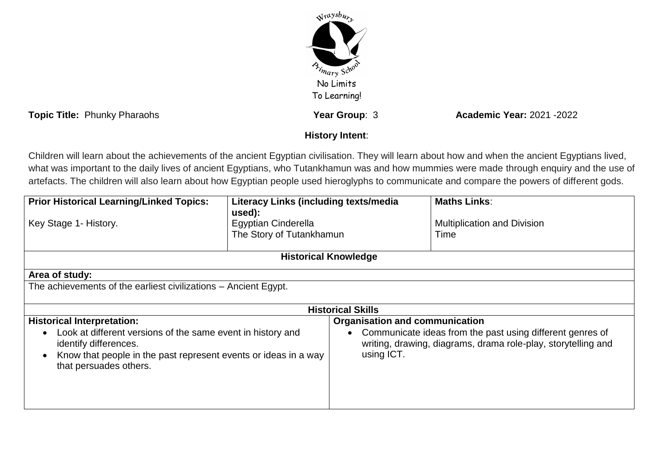

**Topic Title:** Phunky Pharaohs **Year Group**: 3 **Academic Year:** 2021 -2022

## **History Intent**:

Children will learn about the achievements of the ancient Egyptian civilisation. They will learn about how and when the ancient Egyptians lived, what was important to the daily lives of ancient Egyptians, who Tutankhamun was and how mummies were made through enquiry and the use of artefacts. The children will also learn about how Egyptian people used hieroglyphs to communicate and compare the powers of different gods.

| <b>Prior Historical Learning/Linked Topics:</b>                                                                                                                                                             | <b>Literacy Links (including texts/media</b>                     |                                                                                                                                          | <b>Maths Links:</b>                        |  |
|-------------------------------------------------------------------------------------------------------------------------------------------------------------------------------------------------------------|------------------------------------------------------------------|------------------------------------------------------------------------------------------------------------------------------------------|--------------------------------------------|--|
| Key Stage 1- History.                                                                                                                                                                                       | used):<br><b>Egyptian Cinderella</b><br>The Story of Tutankhamun |                                                                                                                                          | <b>Multiplication and Division</b><br>Time |  |
| <b>Historical Knowledge</b>                                                                                                                                                                                 |                                                                  |                                                                                                                                          |                                            |  |
| Area of study:                                                                                                                                                                                              |                                                                  |                                                                                                                                          |                                            |  |
| The achievements of the earliest civilizations – Ancient Egypt.                                                                                                                                             |                                                                  |                                                                                                                                          |                                            |  |
| <b>Historical Skills</b>                                                                                                                                                                                    |                                                                  |                                                                                                                                          |                                            |  |
| <b>Historical Interpretation:</b>                                                                                                                                                                           |                                                                  | <b>Organisation and communication</b>                                                                                                    |                                            |  |
| Look at different versions of the same event in history and<br>$\bullet$<br>identify differences.<br>Know that people in the past represent events or ideas in a way<br>$\bullet$<br>that persuades others. |                                                                  | Communicate ideas from the past using different genres of<br>writing, drawing, diagrams, drama role-play, storytelling and<br>using ICT. |                                            |  |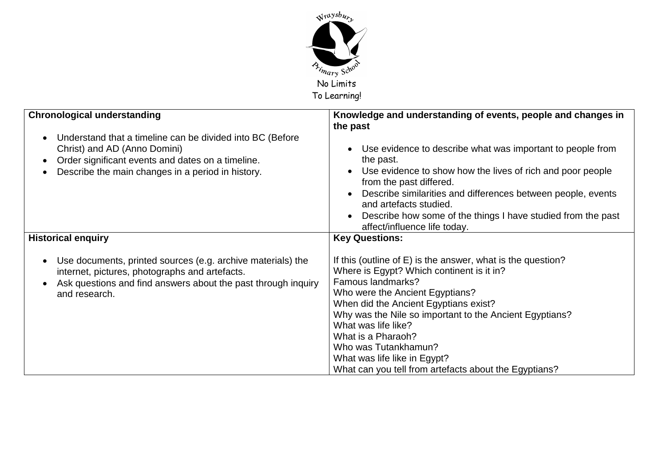

| <b>Chronological understanding</b><br>Understand that a timeline can be divided into BC (Before<br>Christ) and AD (Anno Domini)<br>Order significant events and dates on a timeline.<br>Describe the main changes in a period in history. | Knowledge and understanding of events, people and changes in<br>the past<br>Use evidence to describe what was important to people from<br>the past.<br>Use evidence to show how the lives of rich and poor people<br>from the past differed.<br>Describe similarities and differences between people, events<br>and artefacts studied.<br>Describe how some of the things I have studied from the past                             |
|-------------------------------------------------------------------------------------------------------------------------------------------------------------------------------------------------------------------------------------------|------------------------------------------------------------------------------------------------------------------------------------------------------------------------------------------------------------------------------------------------------------------------------------------------------------------------------------------------------------------------------------------------------------------------------------|
|                                                                                                                                                                                                                                           | affect/influence life today.                                                                                                                                                                                                                                                                                                                                                                                                       |
| <b>Historical enquiry</b>                                                                                                                                                                                                                 | <b>Key Questions:</b>                                                                                                                                                                                                                                                                                                                                                                                                              |
| Use documents, printed sources (e.g. archive materials) the<br>internet, pictures, photographs and artefacts.<br>Ask questions and find answers about the past through inquiry<br>and research.                                           | If this (outline of E) is the answer, what is the question?<br>Where is Egypt? Which continent is it in?<br>Famous landmarks?<br>Who were the Ancient Egyptians?<br>When did the Ancient Egyptians exist?<br>Why was the Nile so important to the Ancient Egyptians?<br>What was life like?<br>What is a Pharaoh?<br>Who was Tutankhamun?<br>What was life like in Egypt?<br>What can you tell from artefacts about the Egyptians? |